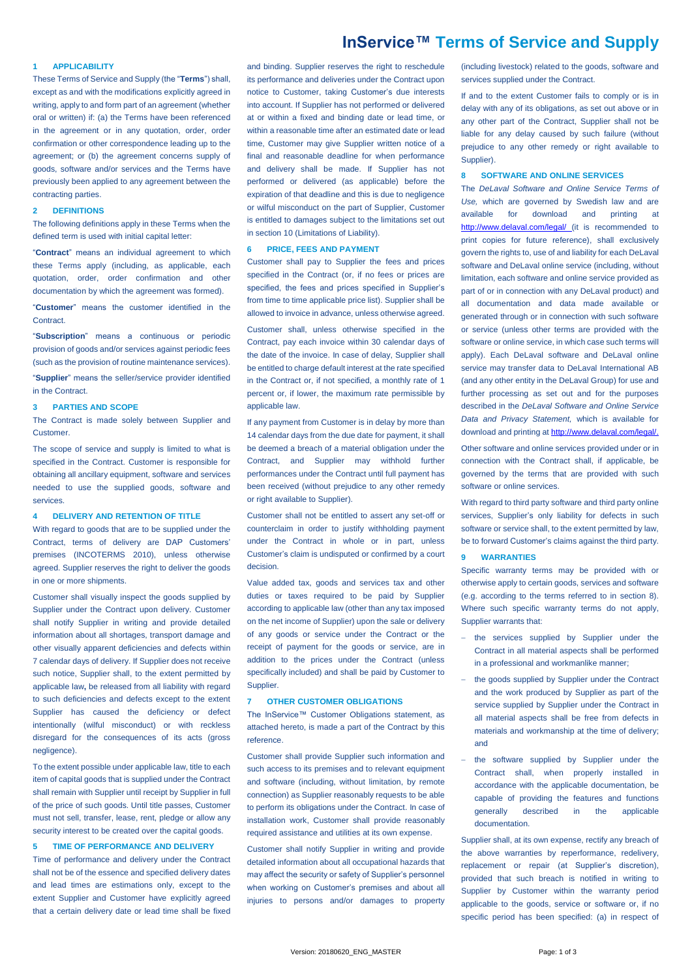# **InService™ Terms of Service and Supply**

# **1 APPLICABILITY**

These Terms of Service and Supply (the "**Terms**") shall, except as and with the modifications explicitly agreed in writing, apply to and form part of an agreement (whether oral or written) if: (a) the Terms have been referenced in the agreement or in any quotation, order, order confirmation or other correspondence leading up to the agreement; or (b) the agreement concerns supply of goods, software and/or services and the Terms have previously been applied to any agreement between the contracting parties.

# **2 DEFINITIONS**

The following definitions apply in these Terms when the defined term is used with initial capital letter:

"**Contract**" means an individual agreement to which these Terms apply (including, as applicable, each quotation, order, order confirmation and other documentation by which the agreement was formed).

"**Customer**" means the customer identified in the **Contract** 

"**Subscription**" means a continuous or periodic provision of goods and/or services against periodic fees (such as the provision of routine maintenance services).

"**Supplier**" means the seller/service provider identified in the Contract.

# **3 PARTIES AND SCOPE**

The Contract is made solely between Supplier and Customer.

The scope of service and supply is limited to what is specified in the Contract. Customer is responsible for obtaining all ancillary equipment, software and services needed to use the supplied goods, software and services.

## **4 DELIVERY AND RETENTION OF TITLE**

With regard to goods that are to be supplied under the Contract, terms of delivery are DAP Customers' premises (INCOTERMS 2010), unless otherwise agreed. Supplier reserves the right to deliver the goods in one or more shipments.

Customer shall visually inspect the goods supplied by Supplier under the Contract upon delivery. Customer shall notify Supplier in writing and provide detailed information about all shortages, transport damage and other visually apparent deficiencies and defects within 7 calendar days of delivery. If Supplier does not receive such notice. Supplier shall, to the extent permitted by applicable law**,** be released from all liability with regard to such deficiencies and defects except to the extent Supplier has caused the deficiency or defect intentionally (wilful misconduct) or with reckless disregard for the consequences of its acts (gross negligence).

To the extent possible under applicable law, title to each item of capital goods that is supplied under the Contract shall remain with Supplier until receipt by Supplier in full of the price of such goods. Until title passes, Customer must not sell, transfer, lease, rent, pledge or allow any security interest to be created over the capital goods.

# <span id="page-0-1"></span>**5 TIME OF PERFORMANCE AND DELIVERY**

Time of performance and delivery under the Contract shall not be of the essence and specified delivery dates and lead times are estimations only, except to the extent Supplier and Customer have explicitly agreed that a certain delivery date or lead time shall be fixed

and binding. Supplier reserves the right to reschedule its performance and deliveries under the Contract upon notice to Customer, taking Customer's due interests into account. If Supplier has not performed or delivered at or within a fixed and binding date or lead time, or within a reasonable time after an estimated date or lead time, Customer may give Supplier written notice of a final and reasonable deadline for when performance and delivery shall be made. If Supplier has not performed or delivered (as applicable) before the expiration of that deadline and this is due to negligence or wilful misconduct on the part of Supplier, Customer is entitled to damages subject to the limitations set out in sectio[n 10](#page-1-0) (Limitations of Liability).

# **6 PRICE, FEES AND PAYMENT**

Customer shall pay to Supplier the fees and prices specified in the Contract (or, if no fees or prices are specified, the fees and prices specified in Supplier's from time to time applicable price list). Supplier shall be allowed to invoice in advance, unless otherwise agreed. Customer shall, unless otherwise specified in the Contract, pay each invoice within 30 calendar days of the date of the invoice. In case of delay, Supplier shall be entitled to charge default interest at the rate specified in the Contract or, if not specified, a monthly rate of 1 percent or, if lower, the maximum rate permissible by applicable law.

If any payment from Customer is in delay by more than 14 calendar days from the due date for payment, it shall be deemed a breach of a material obligation under the Contract, and Supplier may withhold further performances under the Contract until full payment has been received (without prejudice to any other remedy or right available to Supplier).

Customer shall not be entitled to assert any set-off or counterclaim in order to justify withholding payment under the Contract in whole or in part, unless Customer's claim is undisputed or confirmed by a court decision.

Value added tax, goods and services tax and other duties or taxes required to be paid by Supplier according to applicable law (other than any tax imposed on the net income of Supplier) upon the sale or delivery of any goods or service under the Contract or the receipt of payment for the goods or service, are in addition to the prices under the Contract (unless specifically included) and shall be paid by Customer to Supplier.

#### **7 OTHER CUSTOMER OBLIGATIONS**

The InService™ Customer Obligations statement, as attached hereto, is made a part of the Contract by this reference.

Customer shall provide Supplier such information and such access to its premises and to relevant equipment and software (including, without limitation, by remote connection) as Supplier reasonably requests to be able to perform its obligations under the Contract. In case of installation work, Customer shall provide reasonably required assistance and utilities at its own expense.

Customer shall notify Supplier in writing and provide detailed information about all occupational hazards that may affect the security or safety of Supplier's personnel when working on Customer's premises and about all injuries to persons and/or damages to property

(including livestock) related to the goods, software and services supplied under the Contract.

If and to the extent Customer fails to comply or is in delay with any of its obligations, as set out above or in any other part of the Contract, Supplier shall not be liable for any delay caused by such failure (without prejudice to any other remedy or right available to Supplier).

## <span id="page-0-0"></span>**8 SOFTWARE AND ONLINE SERVICES**

The *DeLaval Software and Online Service Terms of Use,* which are governed by Swedish law and are available for download and printing at <http://www.delaval.com/legal/> (it is recommended to print copies for future reference), shall exclusively govern the rights to, use of and liability for each DeLaval software and DeLaval online service (including, without limitation, each software and online service provided as part of or in connection with any DeLaval product) and all documentation and data made available or generated through or in connection with such software or service (unless other terms are provided with the software or online service, in which case such terms will apply). Each DeLaval software and DeLaval online service may transfer data to DeLaval International AB (and any other entity in the DeLaval Group) for use and further processing as set out and for the purposes described in the *DeLaval Software and Online Service Data and Privacy Statement,* which is available for download and printing a[t http://www.delaval.com/legal/.](http://www.delaval.com/legal/) Other software and online services provided under or in connection with the Contract shall, if applicable, be governed by the terms that are provided with such software or online services.

With regard to third party software and third party online services, Supplier's only liability for defects in such software or service shall, to the extent permitted by law, be to forward Customer's claims against the third party.

#### <span id="page-0-2"></span>**9 WARRANTIES**

Specific warranty terms may be provided with or otherwise apply to certain goods, services and software (e.g. according to the terms referred to in section [8\).](#page-0-0) Where such specific warranty terms do not apply, Supplier warrants that:

- the services supplied by Supplier under the Contract in all material aspects shall be performed in a professional and workmanlike manner;
- the goods supplied by Supplier under the Contract and the work produced by Supplier as part of the service supplied by Supplier under the Contract in all material aspects shall be free from defects in materials and workmanship at the time of delivery; and
- the software supplied by Supplier under the Contract shall, when properly installed in accordance with the applicable documentation, be capable of providing the features and functions generally described in the applicable documentation.

Supplier shall, at its own expense, rectify any breach of the above warranties by reperformance, redelivery, replacement or repair (at Supplier's discretion), provided that such breach is notified in writing to Supplier by Customer within the warranty period applicable to the goods, service or software or, if no specific period has been specified: (a) in respect of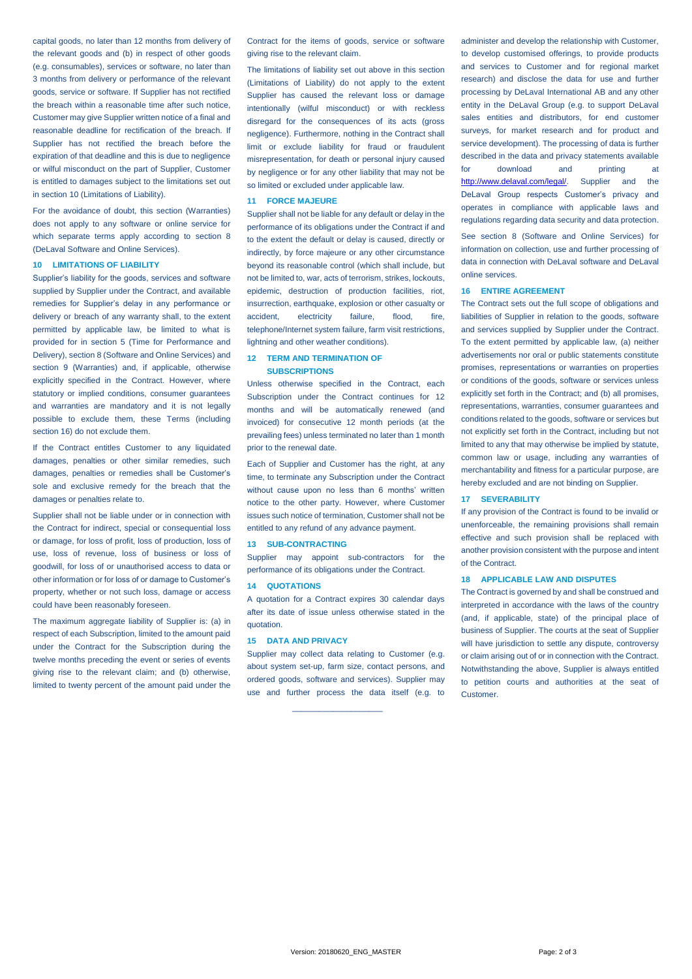capital goods, no later than 12 months from delivery of the relevant goods and (b) in respect of other goods (e.g. consumables), services or software, no later than 3 months from delivery or performance of the relevant goods, service or software. If Supplier has not rectified the breach within a reasonable time after such notice, Customer may give Supplier written notice of a final and reasonable deadline for rectification of the breach. If Supplier has not rectified the breach before the expiration of that deadline and this is due to negligence or wilful misconduct on the part of Supplier, Customer is entitled to damages subject to the limitations set out in section [10](#page-1-0) (Limitations of Liability).

For the avoidance of doubt, this section (Warranties) does not apply to any software or online service for which separate terms apply according to section [8](#page-0-0) (DeLaval Software and Online Services).

# <span id="page-1-0"></span>**10 LIMITATIONS OF LIABILITY**

Supplier's liability for the goods, services and software supplied by Supplier under the Contract, and available remedies for Supplier's delay in any performance or delivery or breach of any warranty shall, to the extent permitted by applicable law, be limited to what is provided for in section [5](#page-0-1) (Time for Performance and Delivery), sectio[n 8](#page-0-0) (Software and Online Services) and section [9](#page-0-2) (Warranties) and, if applicable, otherwise explicitly specified in the Contract. However, where statutory or implied conditions, consumer guarantees and warranties are mandatory and it is not legally possible to exclude them, these Terms (including sectio[n 16\)](#page-1-1) do not exclude them.

If the Contract entitles Customer to any liquidated damages, penalties or other similar remedies, such damages, penalties or remedies shall be Customer's sole and exclusive remedy for the breach that the damages or penalties relate to.

Supplier shall not be liable under or in connection with the Contract for indirect, special or consequential loss or damage, for loss of profit, loss of production, loss of use, loss of revenue, loss of business or loss of goodwill, for loss of or unauthorised access to data or other information or for loss of or damage to Customer's property, whether or not such loss, damage or access could have been reasonably foreseen.

The maximum aggregate liability of Supplier is: (a) in respect of each Subscription, limited to the amount paid under the Contract for the Subscription during the twelve months preceding the event or series of events giving rise to the relevant claim; and (b) otherwise, limited to twenty percent of the amount paid under the

Contract for the items of goods, service or software giving rise to the relevant claim.

The limitations of liability set out above in this section (Limitations of Liability) do not apply to the extent Supplier has caused the relevant loss or damage intentionally (wilful misconduct) or with reckless disregard for the consequences of its acts (gross negligence). Furthermore, nothing in the Contract shall limit or exclude liability for fraud or fraudulent misrepresentation, for death or personal injury caused by negligence or for any other liability that may not be so limited or excluded under applicable law.

#### **11 FORCE MAJEURE**

Supplier shall not be liable for any default or delay in the performance of its obligations under the Contract if and to the extent the default or delay is caused, directly or indirectly, by force majeure or any other circumstance beyond its reasonable control (which shall include, but not be limited to, war, acts of terrorism, strikes, lockouts, epidemic, destruction of production facilities, riot, insurrection, earthquake, explosion or other casualty or accident, electricity failure, flood, fire, telephone/Internet system failure, farm visit restrictions, lightning and other weather conditions).

# **12 TERM AND TERMINATION OF SUBSCRIPTIONS**

Unless otherwise specified in the Contract, each Subscription under the Contract continues for 12 months and will be automatically renewed (and invoiced) for consecutive 12 month periods (at the prevailing fees) unless terminated no later than 1 month prior to the renewal date.

Each of Supplier and Customer has the right, at any time, to terminate any Subscription under the Contract without cause upon no less than 6 months' written notice to the other party. However, where Customer issues such notice of termination, Customer shall not be entitled to any refund of any advance payment.

#### **13 SUB-CONTRACTING**

Supplier may appoint sub-contractors for the performance of its obligations under the Contract.

### **14 QUOTATIONS**

A quotation for a Contract expires 30 calendar days after its date of issue unless otherwise stated in the quotation.

### **15 DATA AND PRIVACY**

Supplier may collect data relating to Customer (e.g. about system set-up, farm size, contact persons, and ordered goods, software and services). Supplier may use and further process the data itself (e.g. to

 $\_$ 

administer and develop the relationship with Customer to develop customised offerings, to provide products and services to Customer and for regional market research) and disclose the data for use and further processing by DeLaval International AB and any other entity in the DeLaval Group (e.g. to support DeLaval sales entities and distributors, for end customer surveys, for market research and for product and service development). The processing of data is further described in the data and privacy statements available for download and printing at [http://www.delaval.com/legal/.](http://www.delaval.com/legal/) Supplier and the DeLaval Group respects Customer's privacy and operates in compliance with applicable laws and regulations regarding data security and data protection. See section [8](#page-0-0) (Software and Online Services) for information on collection, use and further processing of data in connection with DeLaval software and DeLaval online services.

### <span id="page-1-1"></span>**16 ENTIRE AGREEMENT**

The Contract sets out the full scope of obligations and liabilities of Supplier in relation to the goods, software and services supplied by Supplier under the Contract. To the extent permitted by applicable law, (a) neither advertisements nor oral or public statements constitute promises, representations or warranties on properties or conditions of the goods, software or services unless explicitly set forth in the Contract: and (b) all promises representations, warranties, consumer guarantees and conditions related to the goods, software or services but not explicitly set forth in the Contract, including but not limited to any that may otherwise be implied by statute, common law or usage, including any warranties of merchantability and fitness for a particular purpose, are hereby excluded and are not binding on Supplier.

### **17 SEVERABILITY**

If any provision of the Contract is found to be invalid or unenforceable, the remaining provisions shall remain effective and such provision shall be replaced with another provision consistent with the purpose and intent of the Contract.

# **18 APPLICABLE LAW AND DISPUTES**

The Contract is governed by and shall be construed and interpreted in accordance with the laws of the country (and, if applicable, state) of the principal place of business of Supplier. The courts at the seat of Supplier will have jurisdiction to settle any dispute, controversy or claim arising out of or in connection with the Contract. Notwithstanding the above, Supplier is always entitled to petition courts and authorities at the seat of Customer.